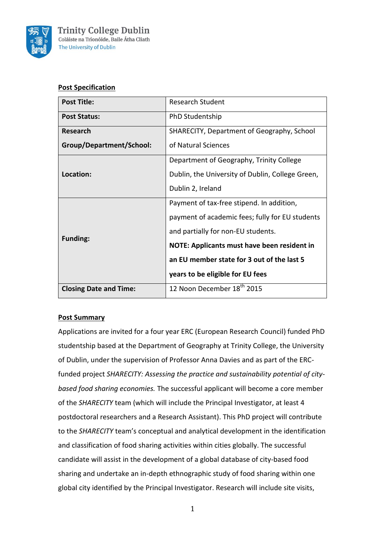

## **Post Specification**

| <b>Post Title:</b>            | <b>Research Student</b>                          |  |
|-------------------------------|--------------------------------------------------|--|
| <b>Post Status:</b>           | PhD Studentship                                  |  |
| <b>Research</b>               | SHARECITY, Department of Geography, School       |  |
| Group/Department/School:      | of Natural Sciences                              |  |
| Location:                     | Department of Geography, Trinity College         |  |
|                               | Dublin, the University of Dublin, College Green, |  |
|                               | Dublin 2, Ireland                                |  |
| <b>Funding:</b>               | Payment of tax-free stipend. In addition,        |  |
|                               | payment of academic fees; fully for EU students  |  |
|                               | and partially for non-EU students.               |  |
|                               | NOTE: Applicants must have been resident in      |  |
|                               | an EU member state for 3 out of the last 5       |  |
|                               | years to be eligible for EU fees                 |  |
| <b>Closing Date and Time:</b> | 12 Noon December 18 <sup>th</sup> 2015           |  |

# **Post Summary**

Applications are invited for a four year ERC (European Research Council) funded PhD studentship based at the Department of Geography at Trinity College, the University of Dublin, under the supervision of Professor Anna Davies and as part of the ERCfunded project *SHARECITY: Assessing the practice and sustainability potential of citybased food sharing economies.* The successful applicant will become a core member of the *SHARECITY* team (which will include the Principal Investigator, at least 4 postdoctoral researchers and a Research Assistant). This PhD project will contribute to the *SHARECITY* team's conceptual and analytical development in the identification and classification of food sharing activities within cities globally. The successful candidate will assist in the development of a global database of city-based food sharing and undertake an in-depth ethnographic study of food sharing within one global city identified by the Principal Investigator. Research will include site visits,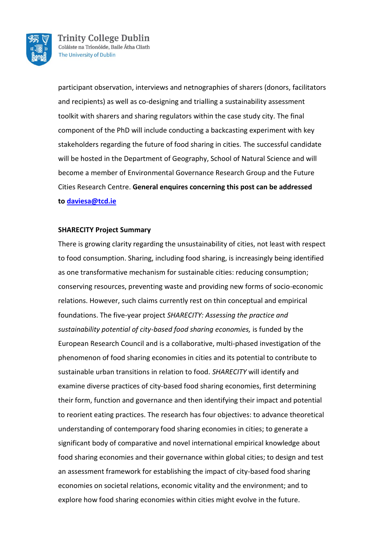

participant observation, interviews and netnographies of sharers (donors, facilitators and recipients) as well as co-designing and trialling a sustainability assessment toolkit with sharers and sharing regulators within the case study city. The final component of the PhD will include conducting a backcasting experiment with key stakeholders regarding the future of food sharing in cities. The successful candidate will be hosted in the Department of Geography, School of Natural Science and will become a member of Environmental Governance Research Group and the Future Cities Research Centre. **General enquires concerning this post can be addressed to [daviesa@tcd.ie](mailto:daviesa@tcd.ie)**

## **SHARECITY Project Summary**

There is growing clarity regarding the unsustainability of cities, not least with respect to food consumption. Sharing, including food sharing, is increasingly being identified as one transformative mechanism for sustainable cities: reducing consumption; conserving resources, preventing waste and providing new forms of socio-economic relations. However, such claims currently rest on thin conceptual and empirical foundations. The five-year project *SHARECITY: Assessing the practice and sustainability potential of city-based food sharing economies,* is funded by the European Research Council and is a collaborative, multi-phased investigation of the phenomenon of food sharing economies in cities and its potential to contribute to sustainable urban transitions in relation to food. *SHARECITY* will identify and examine diverse practices of city-based food sharing economies, first determining their form, function and governance and then identifying their impact and potential to reorient eating practices. The research has four objectives: to advance theoretical understanding of contemporary food sharing economies in cities; to generate a significant body of comparative and novel international empirical knowledge about food sharing economies and their governance within global cities; to design and test an assessment framework for establishing the impact of city-based food sharing economies on societal relations, economic vitality and the environment; and to explore how food sharing economies within cities might evolve in the future.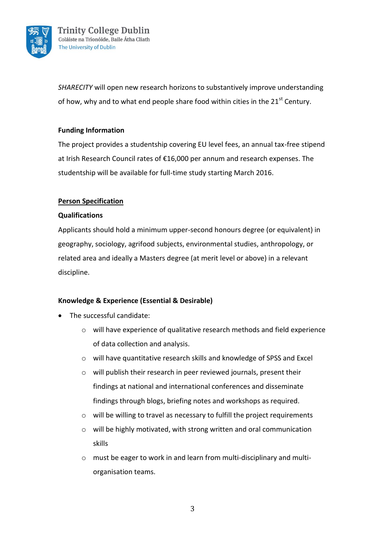

*SHARECITY* will open new research horizons to substantively improve understanding of how, why and to what end people share food within cities in the  $21^{st}$  Century.

# **Funding Information**

The project provides a studentship covering EU level fees, an annual tax-free stipend at Irish Research Council rates of €16,000 per annum and research expenses. The studentship will be available for full-time study starting March 2016.

# **Person Specification**

## **Qualifications**

Applicants should hold a minimum upper-second honours degree (or equivalent) in geography, sociology, agrifood subjects, environmental studies, anthropology, or related area and ideally a Masters degree (at merit level or above) in a relevant discipline.

# **Knowledge & Experience (Essential & Desirable)**

- The successful candidate:
	- o will have experience of qualitative research methods and field experience of data collection and analysis.
	- o will have quantitative research skills and knowledge of SPSS and Excel
	- o will publish their research in peer reviewed journals, present their findings at national and international conferences and disseminate findings through blogs, briefing notes and workshops as required.
	- o will be willing to travel as necessary to fulfill the project requirements
	- o will be highly motivated, with strong written and oral communication skills
	- o must be eager to work in and learn from multi-disciplinary and multiorganisation teams.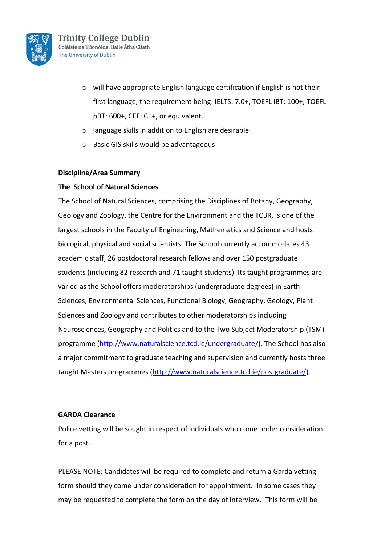

- o will have appropriate English language certification if English is not their first language, the requirement being: IELTS: 7.0+, TOEFL iBT: 100+, TOEFL pBT: 600+, CEF: C1+, or equivalent.
- o language skills in addition to English are desirable
- o Basic GIS skills would be advantageous

## **Discipline/Area Summary**

## **The School of Natural Sciences**

The School of Natural Sciences, comprising the Disciplines of [Botany,](http://www.tcd.ie/Botany/) [Geography,](http://www.tcd.ie/Geography/) [Geology](http://www.tcd.ie/Geology/) an[d Zoology,](http://www.tcd.ie/Zoology/) the [Centre for the Environment](http://www.naturalscience.tcd.ie/CENV2006/index.php) and the TCBR, is one of the largest schools in the [Faculty of Engineering, Mathematics and Science](http://www.ems.tcd.ie/) and hosts biological, physical and social scientists. The School currently accommodates 43 academic staff, 26 postdoctoral research fellows and over 150 postgraduate students (including 82 research and 71 taught students). Its taught programmes are varied as the School offers moderatorships (undergraduate degrees) in Earth Sciences, Environmental Sciences, Functional Biology, Geography, Geology, Plant Sciences and Zoology and contributes to other moderatorships including Neurosciences, Geography and Politics and to the Two Subject Moderatorship (TSM) programme [\(http://www.naturalscience.tcd.ie/undergraduate/\)](http://www.naturalscience.tcd.ie/undergraduate/). The School has also a major commitment to graduate teaching and supervision and currently hosts three taught Masters programmes [\(http://www.naturalscience.tcd.ie/postgraduate/\)](http://www.naturalscience.tcd.ie/postgraduate/).

## **GARDA Clearance**

Police vetting will be sought in respect of individuals who come under consideration for a post.

PLEASE NOTE: Candidates will be required to complete and return a Garda vetting form should they come under consideration for appointment. In some cases they may be requested to complete the form on the day of interview. This form will be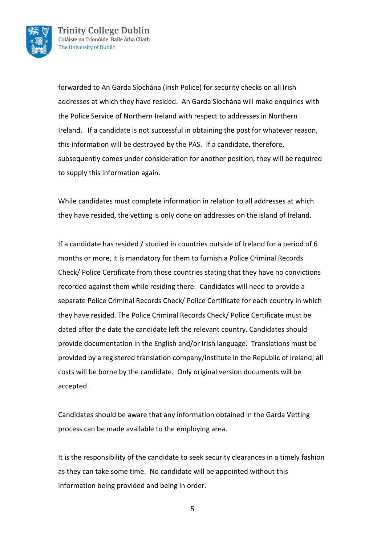

forwarded to An Garda Síochána (Irish Police) for security checks on all Irish addresses at which they have resided. An Garda Síochána will make enquiries with the Police Service of Northern Ireland with respect to addresses in Northern Ireland. If a candidate is not successful in obtaining the post for whatever reason, this information will be destroyed by the PAS. If a candidate, therefore, subsequently comes under consideration for another position, they will be required to supply this information again.

While candidates must complete information in relation to all addresses at which they have resided, the vetting is only done on addresses on the island of Ireland.

If a candidate has resided / studied in countries outside of Ireland for a period of 6 months or more, it is mandatory for them to furnish a Police Criminal Records Check/ Police Certificate from those countries stating that they have no convictions recorded against them while residing there. Candidates will need to provide a separate Police Criminal Records Check/ Police Certificate for each country in which they have resided. The Police Criminal Records Check/ Police Certificate must be dated after the date the candidate left the relevant country. Candidates should provide documentation in the English and/or Irish language. Translations must be provided by a registered translation company/institute in the Republic of Ireland; all costs will be borne by the candidate. Only original version documents will be accepted.

Candidates should be aware that any information obtained in the Garda Vetting process can be made available to the employing area.

It is the responsibility of the candidate to seek security clearances in a timely fashion as they can take some time. No candidate will be appointed without this information being provided and being in order.

5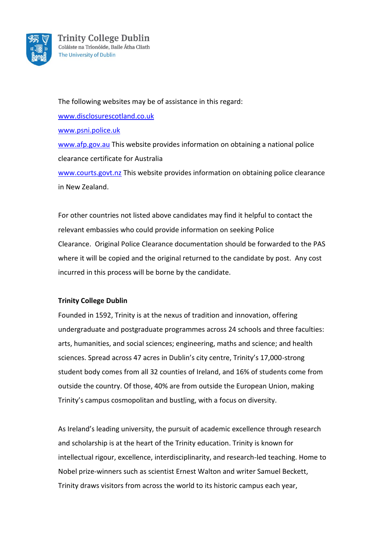

The following websites may be of assistance in this regard: [www.disclosurescotland.co.uk](http://www.disclosurescotland.co.uk/) [www.psni.police.uk](http://www.psni.police.uk/) [www.afp.gov.au](http://www.afp.gov.au/) This website provides information on obtaining a national police clearance certificate for Australia [www.courts.govt.nz](http://www.courts.govt.nz/) This website provides information on obtaining police clearance in New Zealand.

For other countries not listed above candidates may find it helpful to contact the relevant embassies who could provide information on seeking Police Clearance. Original Police Clearance documentation should be forwarded to the PAS where it will be copied and the original returned to the candidate by post. Any cost incurred in this process will be borne by the candidate.

## **Trinity College Dublin**

Founded in 1592, Trinity is at the nexus of tradition and innovation, offering undergraduate and postgraduate programmes across 24 schools and three faculties: arts, humanities, and social sciences; engineering, maths and science; and health sciences. Spread across 47 acres in Dublin's city centre, Trinity's 17,000-strong student body comes from all 32 counties of Ireland, and 16% of students come from outside the country. Of those, 40% are from outside the European Union, making Trinity's campus cosmopolitan and bustling, with a focus on diversity.

As Ireland's leading university, the pursuit of academic excellence through research and scholarship is at the heart of the Trinity education. Trinity is known for intellectual rigour, excellence, interdisciplinarity, and research-led teaching. Home to Nobel prize-winners such as scientist Ernest Walton and writer Samuel Beckett, Trinity draws visitors from across the world to its historic campus each year,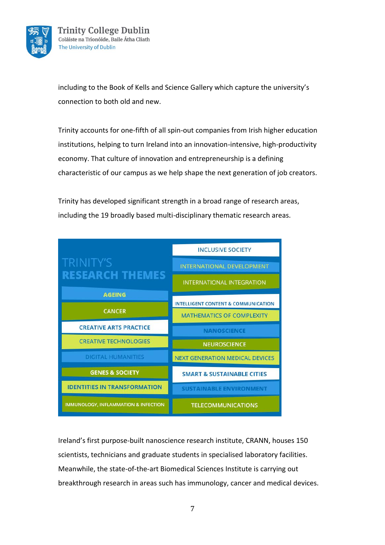

including to the Book of Kells and Science Gallery which capture the university's connection to both old and new.

Trinity accounts for one-fifth of all spin-out companies from Irish higher education institutions, helping to turn Ireland into an innovation-intensive, high-productivity economy. That culture of innovation and entrepreneurship is a defining characteristic of our campus as we help shape the next generation of job creators.

Trinity has developed significant strength in a broad range of research areas, including the 19 broadly based multi-disciplinary thematic research areas.

|                                                 | <b>INCLUSIVE SOCIETY</b>                       |
|-------------------------------------------------|------------------------------------------------|
| <b>TRINITY'S</b>                                | <b>INTERNATIONAL DEVELOPMENT</b>               |
| <b>RESEARCH THEMES</b>                          | <b>INTERNATIONAL INTEGRATION</b>               |
| <b>AGEING</b>                                   |                                                |
|                                                 | <b>INTELLIGENT CONTENT &amp; COMMUNICATION</b> |
| <b>CANCER</b>                                   | <b>MATHEMATICS OF COMPLEXITY</b>               |
| <b>CREATIVE ARTS PRACTICE</b>                   | <b>NANOSCIENCE</b>                             |
| <b>CREATIVE TECHNOLOGIES</b>                    | <b>NEUROSCIENCE</b>                            |
| <b>DIGITAL HUMANITIES</b>                       | <b>NEXT GENERATION MEDICAL DEVICES</b>         |
| <b>GENES &amp; SOCIETY</b>                      | <b>SMART &amp; SUSTAINABLE CITIES</b>          |
| <b>IDENTITIES IN TRANSFORMATION</b>             | <b>SUSTAINABLE ENVIRONMENT</b>                 |
| <b>IMMUNOLOGY, INFLAMMATION &amp; INFECTION</b> | <b>TELECOMMUNICATIONS</b>                      |

Ireland's first purpose-built nanoscience research institute, CRANN, houses 150 scientists, technicians and graduate students in specialised laboratory facilities. Meanwhile, the state-of-the-art Biomedical Sciences Institute is carrying out breakthrough research in areas such has immunology, cancer and medical devices.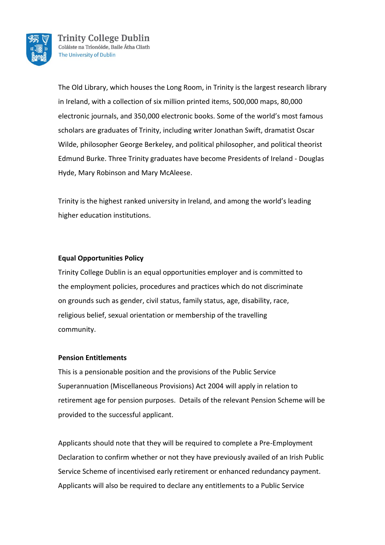

The Old Library, which houses the Long Room, in Trinity is the largest research library in Ireland, with a collection of six million printed items, 500,000 maps, 80,000 electronic journals, and 350,000 electronic books. Some of the world's most famous scholars are graduates of Trinity, including writer Jonathan Swift, dramatist Oscar Wilde, philosopher George Berkeley, and political philosopher, and political theorist Edmund Burke. Three Trinity graduates have become Presidents of Ireland - Douglas Hyde, Mary Robinson and Mary McAleese.

Trinity is the highest ranked university in Ireland, and among the world's leading higher education institutions.

## **Equal Opportunities Policy**

Trinity College Dublin is an equal opportunities employer and is committed to the employment policies, procedures and practices which do not discriminate on grounds such as gender, civil status, family status, age, disability, race, religious belief, sexual orientation or membership of the travelling community.

## **Pension Entitlements**

This is a pensionable position and the provisions of the Public Service Superannuation (Miscellaneous Provisions) Act 2004 will apply in relation to retirement age for pension purposes. Details of the relevant Pension Scheme will be provided to the successful applicant.

Applicants should note that they will be required to complete a Pre-Employment Declaration to confirm whether or not they have previously availed of an Irish Public Service Scheme of incentivised early retirement or enhanced redundancy payment. Applicants will also be required to declare any entitlements to a Public Service